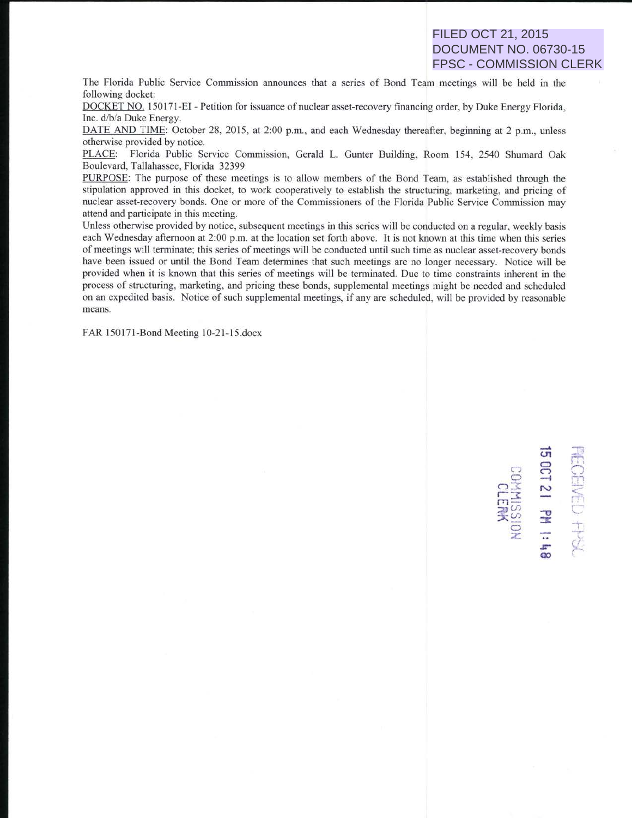FILED OCT 21, 2015 DOCUMENT NO. 06730-15 FPSC - COMMISSION CLERK

The Florida Public Service Commission announces that a series of Bond Team meetings will be held in the following docket:

DOCKET NO. 150171-EI - Petition for issuance of nuclear asset-recovery financing order, by Duke Energy Florida, Inc. d/b/a Duke Energy.

DATE AND TIME: October 28, 2015, at 2:00 p.m., and each Wednesday thereafter, beginning at 2 p.m., unless otherwise provided by notice.

PLACE: Florida Public Service Commission, Gerald L. Gunter Building, Room 154, 2540 Shumard Oak Boulevard, Tallahassee, Florida 32399

PURPOSE: The purpose of these meetings is to allow members of the Bond Team, as established through the stipulation approved in this docket, to work cooperatively to establish the structuring, marketing, and pricing of nuclear asset-recovery bonds. One or more of the Commissioners of the Florida Public Service Commission may attend and participate in this meeting.

Unless otherwise provided by notice, subsequent meetings in this series will be conducted on a regular, weekly basis each Wednesday afternoon at 2:00 p.m. at the location set forth above. It is not known at this time when this series of meetings will terminate; this series of meetings will be conducted until such time as nuclear asset-recovery bonds have been issued or until the Bond Team determines that such meetings are no longer necessary. Notice will be provided when it is known that this series of meetings will be terminated. Due to time constraints inherent in the process of structuring, marketing, and pricing these bonds, supplemental meetings might be needed and scheduled on an expedited basis. Notice of such supplemental meetings, if any are scheduled. will be provided by reasonable means.

FAR 150171-Bond Meeting 10-21-15.docx

 $\mathbf{C}$ ន<br>ន<br>**ន** 21 PM<br>MMISSIO<br>CLERK z .lr' **00** r;.  $\Omega_{\rm f}$  $r \rightarrow r$ *C'*  1<br>K<br>K

......